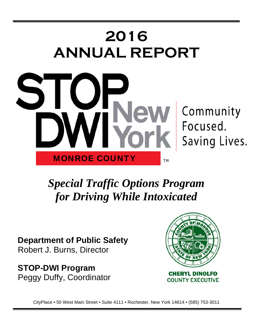

*Special Traffic Options Program for Driving While Intoxicated* 

**Department of Public Safety**  Robert J. Burns, Director

**STOP-DWI Program**  Peggy Duffy, Coordinator



CityPlace • 50 West Main Street • Suite 4111 • Rochester, New York 14614 • (585) 753-3011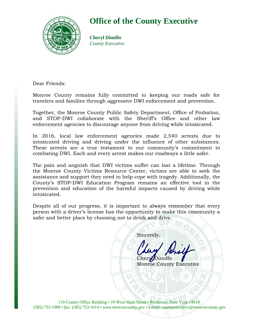

### **Office of the County Executive**

**Cheryl Dinolfo** *County Executive*

Dear Friends:

Monroe County remains fully committed to keeping our roads safe for travelers and families through aggressive DWI enforcement and prevention.

Together, the Monroe County Public Safety Department, Office of Probation, and STOP-DWI collaborate with the Sheriff's Office and other law enforcement agencies to discourage anyone from driving while intoxicated.

In 2016, local law enforcement agencies made 2,540 arrests due to intoxicated driving and driving under the influence of other substances. These arrests are a true testament to our community's commitment to combating DWI. Each and every arrest makes our roadways a little safer.

The pain and anguish that DWI victims suffer can last a lifetime. Through the Monroe County Victims Resource Center, victims are able to seek the assistance and support they need to help cope with tragedy. Additionally, the County's STOP-DWI Education Program remains an effective tool in the prevention and education of the harmful impacts caused by driving while intoxicated.

Despite all of our progress, it is important to always remember that every person with a driver's license has the opportunity to make this community a safer and better place by choosing not to drink and drive.

Sincerely,

Chery**Dinolfo** 

Monroe County Executive

110 County Office Building • 39 West Main Street • Rochester, New York 14614 (585) 753-1000 • *fax:* (585) 753-1014 • *www.monroecounty.gov* • e-mail: *countyexecutive@monroecounty.gov*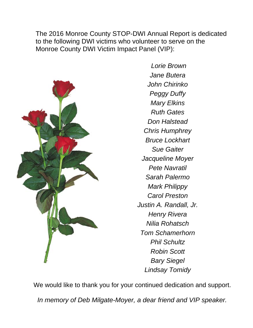The 2016 Monroe County STOP-DWI Annual Report is dedicated to the following DWI victims who volunteer to serve on the Monroe County DWI Victim Impact Panel (VIP):



 *Lorie Brown Jane Butera John Chirinko Peggy Duffy Mary Elkins Ruth Gates Don Halstead Chris Humphrey Bruce Lockhart Sue Gaiter Jacqueline Moyer Pete Navratil Sarah Palermo Mark Philippy Carol Preston Justin A. Randall, Jr. Henry Rivera Nilia Rohatsch Tom Schamerhorn Phil Schultz Robin Scott Bary Siegel Lindsay Tomidy* 

We would like to thank you for your continued dedication and support.

*In memory of Deb Milgate-Moyer, a dear friend and VIP speaker.*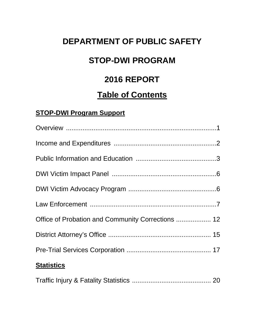## **DEPARTMENT OF PUBLIC SAFETY**

## **STOP-DWI PROGRAM**

## **2016 REPORT**

### **Table of Contents**

### **STOP-DWI Program Support**

| Office of Probation and Community Corrections  12 |
|---------------------------------------------------|
|                                                   |
|                                                   |
| <b>Statistics</b>                                 |
|                                                   |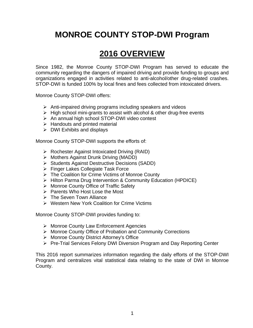## **MONROE COUNTY STOP-DWI Program**

## **2016 OVERVIEW**

Since 1982, the Monroe County STOP-DWI Program has served to educate the community regarding the dangers of impaired driving and provide funding to groups and organizations engaged in activities related to anti-alcohol/other drug-related crashes. STOP-DWI is funded 100% by local fines and fees collected from intoxicated drivers.

Monroe County STOP-DWI offers:

- $\triangleright$  Anti-impaired driving programs including speakers and videos
- $\triangleright$  High school mini-grants to assist with alcohol & other drug-free events
- $\triangleright$  An annual high school STOP-DWI video contest
- $\triangleright$  Handouts and printed material
- $\triangleright$  DWI Exhibits and displays

Monroe County STOP-DWI supports the efforts of:

- Rochester Against Intoxicated Driving (RAID)
- Mothers Against Drunk Driving (MADD)
- Students Against Destructive Decisions (SADD)
- Finger Lakes Collegiate Task Force
- The Coalition for Crime Victims of Monroe County
- ▶ Hilton Parma Drug Intervention & Community Education (HPDICE)
- Monroe County Office of Traffic Safety
- $\triangleright$  Parents Who Host Lose the Most
- $\triangleright$  The Seven Town Alliance
- ▶ Western New York Coalition for Crime Victims

Monroe County STOP-DWI provides funding to:

- Monroe County Law Enforcement Agencies
- ▶ Monroe County Office of Probation and Community Corrections
- Monroe County District Attorney's Office
- ▶ Pre-Trial Services Felony DWI Diversion Program and Day Reporting Center

This 2016 report summarizes information regarding the daily efforts of the STOP-DWI Program and centralizes vital statistical data relating to the state of DWI in Monroe County.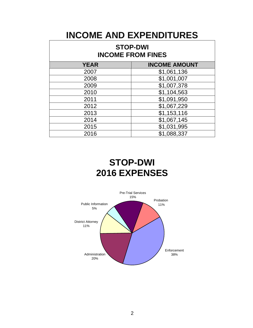## **INCOME AND EXPENDITURES**

| <b>STOP-DWI</b><br><b>INCOME FROM FINES</b> |                      |  |  |  |  |  |  |  |
|---------------------------------------------|----------------------|--|--|--|--|--|--|--|
| <b>YEAR</b>                                 | <b>INCOME AMOUNT</b> |  |  |  |  |  |  |  |
| 2007                                        | \$1,061,136          |  |  |  |  |  |  |  |
| 2008                                        | \$1,001,007          |  |  |  |  |  |  |  |
| 2009                                        | \$1,007,378          |  |  |  |  |  |  |  |
| 2010                                        | \$1,104,563          |  |  |  |  |  |  |  |
| 2011                                        | \$1,091,950          |  |  |  |  |  |  |  |
| 2012                                        | \$1,067,229          |  |  |  |  |  |  |  |
| 2013                                        | \$1,153,116          |  |  |  |  |  |  |  |
| 2014                                        | \$1,067,145          |  |  |  |  |  |  |  |
| 2015                                        | \$1,031,995          |  |  |  |  |  |  |  |
| 2016                                        | \$1,088,337          |  |  |  |  |  |  |  |

## **STOP-DWI 2016 EXPENSES**

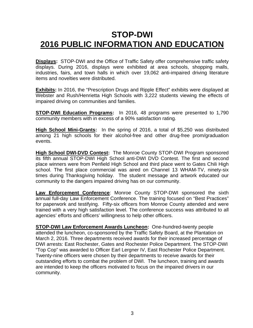## **STOP-DWI 2016 PUBLIC INFORMATION AND EDUCATION**

**Displays:** STOP-DWI and the Office of Traffic Safety offer comprehensive traffic safety displays. During 2016, displays were exhibited at area schools, shopping malls, industries, fairs, and town halls in which over 19,062 anti-impaired driving literature items and novelties were distributed.

**Exhibits:** In 2016, the "Prescription Drugs and Ripple Effect" exhibits were displayed at Webster and Rush/Henrietta High Schools with 3,222 students viewing the effects of impaired driving on communities and families.

**STOP-DWI Education Programs:** In 2016, 48 programs were presented to 1,790 community members with in excess of a 90% satisfaction rating.

**High School Mini-Grants:** In the spring of 2016, a total of \$5,250 was distributed among 21 high schools for their alcohol-free and other drug-free prom/graduation events.

**High School DWI-DVD Contest:** The Monroe County STOP-DWI Program sponsored its fifth annual STOP-DWI High School anti-DWI DVD Contest. The first and second place winners were from Penfield High School and third place went to Gates Chili High school. The first place commercial was aired on Channel 13 WHAM-TV, ninety-six times during Thanksgiving holiday. The student message and artwork educated our community to the dangers impaired driving has on our community.

**Law Enforcement Conference**: Monroe County STOP-DWI sponsored the sixth annual full-day Law Enforcement Conference. The training focused on "Best Practices" for paperwork and testifying. Fifty-six officers from Monroe County attended and were trained with a very high satisfaction level. The conference success was attributed to all agencies' efforts and officers' willingness to help other officers.

**STOP-DWI Law Enforcement Awards Luncheon:** One-hundred-twenty people attended the luncheon, co-sponsored by the Traffic Safety Board, at the Plantation on March 2, 2016. Three departments received awards for their increased percentage of DWI arrests: East Rochester, Gates and Rochester Police Department. The STOP-DWI "Top Cop" was awarded to Officer Earl Lergner IV, East Rochester Police Department. Twenty-nine officers were chosen by their departments to receive awards for their outstanding efforts to combat the problem of DWI. The luncheon, training and awards are intended to keep the officers motivated to focus on the impaired drivers in our community.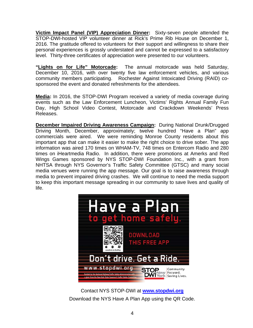**Victim Impact Panel (VIP) Appreciation Dinner:** Sixty-seven people attended the STOP-DWI-hosted VIP volunteer dinner at Rick's Prime Rib House on December 1, 2016. The gratitude offered to volunteers for their support and willingness to share their personal experiences is grossly understated and cannot be expressed to a satisfactory level. Thirty-three certificates of appreciation were presented to our volunteers.

**"Lights on for Life" Motorcade:** The annual motorcade was held Saturday, December 10, 2016, with over twenty five law enforcement vehicles, and various community members participating. Rochester Against Intoxicated Driving (RAID) cosponsored the event and donated refreshments for the attendees.

**Media:** In 2016, the STOP-DWI Program received a variety of media coverage during events such as the Law Enforcement Luncheon, Victims' Rights Annual Family Fun Day, High School Video Contest, Motorcade and Crackdown Weekends' Press Releases.

**December Impaired Driving Awareness Campaign:** During National Drunk/Drugged Driving Month, December, approximately; twelve hundred "Have a Plan" app commercials were aired. We were reminding Monroe County residents about this important app that can make it easier to make the right choice to drive sober. The app information was aired 170 times on WHAM-TV, 748 times on Entercom Radio and 280 times on iHeartmedia Radio. In addition, there were promotions at Amerks and Red Wings Games sponsored by NYS STOP-DWI Foundation Inc., with a grant from NHTSA through NYS Governor's Traffic Safety Committee (GTSC) and many social media venues were running the app message. Our goal is to raise awareness through media to prevent impaired driving crashes. We will continue to need the media support to keep this important message spreading in our community to save lives and quality of life.



Contact NYS STOP-DWI at **www.stopdwi.org** Download the NYS Have A Plan App using the QR Code.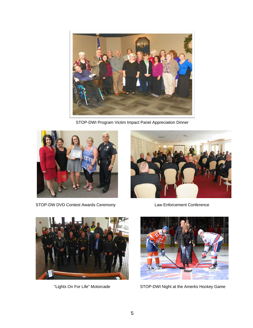

STOP-DWI Program Victim Impact Panel Appreciation Dinner



STOP-DW DVD Contest Awards Ceremony Law Enforcement Conference







"Lights On For Life" Motorcade STOP-DWI Night at the Amerks Hockey Game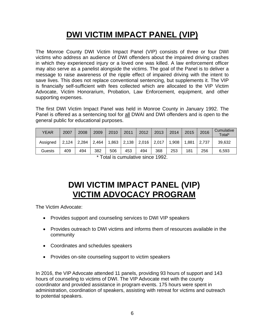## **DWI VICTIM IMPACT PANEL (VIP)**

The Monroe County DWI Victim Impact Panel (VIP) consists of three or four DWI victims who address an audience of DWI offenders about the impaired driving crashes in which they experienced injury or a loved one was killed. A law enforcement officer may also serve as a panelist alongside the victims. The goal of the Panel is to deliver a message to raise awareness of the ripple effect of impaired driving with the intent to save lives. This does not replace conventional sentencing, but supplements it. The VIP is financially self-sufficient with fees collected which are allocated to the VIP Victim Advocate, Victim Honorarium, Probation, Law Enforcement, equipment, and other supporting expenses.

The first DWI Victim Impact Panel was held in Monroe County in January 1992. The Panel is offered as a sentencing tool for all DWAI and DWI offenders and is open to the general public for educational purposes.

| YEAR     | 2007  | 2008  | 2009  | 2010  | 2011  | 2012  | 2013  | 2014  | 2015  | 2016  | Cumulative<br>Total* |
|----------|-------|-------|-------|-------|-------|-------|-------|-------|-------|-------|----------------------|
| Assigned | 2,124 | 2,284 | 2,464 | 1,863 | 2,138 | 2,016 | 2,017 | 1,908 | 1,881 | 2.737 | 39,632               |
| Guests   | 409   | 494   | 382   | 506   | 453   | 494   | 368   | 253   | 181   | 256   | 6,593                |

\* Total is cumulative since 1992.

## **DWI VICTIM IMPACT PANEL (VIP) VICTIM ADVOCACY PROGRAM**

The Victim Advocate:

- Provides support and counseling services to DWI VIP speakers
- Provides outreach to DWI victims and informs them of resources available in the community
- Coordinates and schedules speakers
- Provides on-site counseling support to victim speakers

In 2016, the VIP Advocate attended 11 panels, providing 93 hours of support and 143 hours of counseling to victims of DWI. The VIP Advocate met with the county coordinator and provided assistance in program events. 175 hours were spent in administration, coordination of speakers, assisting with retreat for victims and outreach to potential speakers.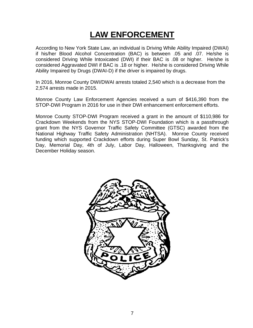## **LAW ENFORCEMENT**

According to New York State Law, an individual is Driving While Ability Impaired (DWAI) if his/her Blood Alcohol Concentration (BAC) is between .05 and .07. He/she is considered Driving While Intoxicated (DWI) if their BAC is .08 or higher. He/she is considered Aggravated DWI if BAC is .18 or higher. He/she is considered Driving While Ability Impaired by Drugs (DWAI-D) if the driver is impaired by drugs.

In 2016, Monroe County DWI/DWAI arrests totaled 2,540 which is a decrease from the 2,574 arrests made in 2015.

Monroe County Law Enforcement Agencies received a sum of \$416,390 from the STOP-DWI Program in 2016 for use in their DWI enhancement enforcement efforts.

Monroe County STOP-DWI Program received a grant in the amount of \$110,986 for Crackdown Weekends from the NYS STOP-DWI Foundation which is a passthrough grant from the NYS Governor Traffic Safety Committee (GTSC) awarded from the National Highway Traffic Safety Administration (NHTSA). Monroe County received funding which supported Crackdown efforts during Super Bowl Sunday, St. Patrick's Day, Memorial Day, 4th of July, Labor Day, Halloween, Thanksgiving and the December Holiday season.

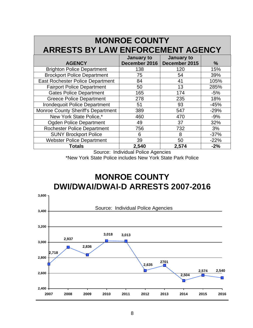| <b>MONROE COUNTY</b>                      |                             |                             |        |  |  |  |  |  |  |  |  |
|-------------------------------------------|-----------------------------|-----------------------------|--------|--|--|--|--|--|--|--|--|
| <b>ARRESTS BY LAW ENFORCEMENT AGENCY</b>  |                             |                             |        |  |  |  |  |  |  |  |  |
| <b>AGENCY</b>                             | January to<br>December 2016 | January to<br>December 2015 | %      |  |  |  |  |  |  |  |  |
| <b>Brighton Police Department</b>         | 138                         | 120                         | 15%    |  |  |  |  |  |  |  |  |
| <b>Brockport Police Department</b>        | 75                          | 54                          | 39%    |  |  |  |  |  |  |  |  |
| <b>East Rochester Police Department</b>   | 84                          | 41                          | 105%   |  |  |  |  |  |  |  |  |
| <b>Fairport Police Department</b>         | 50                          | 13                          | 285%   |  |  |  |  |  |  |  |  |
| <b>Gates Police Department</b>            | 165                         | 174                         | $-5%$  |  |  |  |  |  |  |  |  |
| <b>Greece Police Department</b>           | 278                         | 235                         | 18%    |  |  |  |  |  |  |  |  |
| Irondequoit Police Department             | 51                          | 93                          | $-45%$ |  |  |  |  |  |  |  |  |
| <b>Monroe County Sheriff's Department</b> | 389                         | 547                         | $-29%$ |  |  |  |  |  |  |  |  |
| New York State Police,*                   | 460                         | 470                         | $-9%$  |  |  |  |  |  |  |  |  |
| <b>Ogden Police Department</b>            | 49                          | 37                          | 32%    |  |  |  |  |  |  |  |  |
| <b>Rochester Police Department</b>        | 756                         | 732                         | 3%     |  |  |  |  |  |  |  |  |
| <b>SUNY Brockport Police</b>              | 6                           | 8                           | $-37%$ |  |  |  |  |  |  |  |  |
| <b>Webster Police Department</b>          | 39                          | 50                          | $-22%$ |  |  |  |  |  |  |  |  |
| <b>Totals</b>                             | 2,540                       | 2,574                       | $-2%$  |  |  |  |  |  |  |  |  |

Source: Individual Police Agencies \*New York State Police includes New York State Park Police

### **MONROE COUNTY DWI/DWAI/DWAI-D ARRESTS 2007-2016**

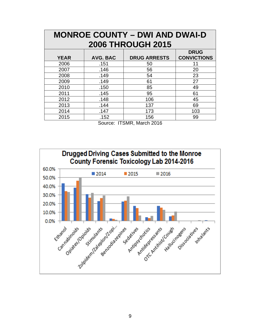| <b>MONROE COUNTY – DWI AND DWAI-D</b> |                 |                     |                                   |  |  |  |  |  |  |  |  |
|---------------------------------------|-----------------|---------------------|-----------------------------------|--|--|--|--|--|--|--|--|
| <b>2006 THROUGH 2015</b>              |                 |                     |                                   |  |  |  |  |  |  |  |  |
| <b>YEAR</b>                           | <b>AVG. BAC</b> | <b>DRUG ARRESTS</b> | <b>DRUG</b><br><b>CONVICTIONS</b> |  |  |  |  |  |  |  |  |
| 2006                                  | .151            | 50                  | 11                                |  |  |  |  |  |  |  |  |
| 2007                                  | .146            | 56                  | 20                                |  |  |  |  |  |  |  |  |
| 2008                                  | .149            | 54                  | 23                                |  |  |  |  |  |  |  |  |
| 2009                                  | .149            | 61                  | 27                                |  |  |  |  |  |  |  |  |
| 2010                                  | .150            | 85                  | 49                                |  |  |  |  |  |  |  |  |
| 2011                                  | .145            | 95                  | 61                                |  |  |  |  |  |  |  |  |
| 2012                                  | .148            | 106                 | 45                                |  |  |  |  |  |  |  |  |
| 2013                                  | .144            | 137                 | 69                                |  |  |  |  |  |  |  |  |
| 2014                                  | .147            | 173                 | 103                               |  |  |  |  |  |  |  |  |
| 2015                                  | .152            | 156                 | 99                                |  |  |  |  |  |  |  |  |

Source: ITSMR, March 2016

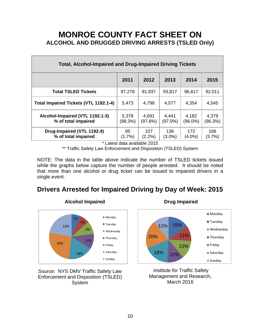### **MONROE COUNTY FACT SHEET ON ALCOHOL AND DRUGGED DRIVING ARRESTS (TSLED Only)**

| <b>Total, Alcohol-Impaired and Drug-Impaired Driving Tickets</b> |                  |                                                                         |                     |                  |                  |  |  |  |  |  |
|------------------------------------------------------------------|------------------|-------------------------------------------------------------------------|---------------------|------------------|------------------|--|--|--|--|--|
|                                                                  | 2011             | 2012                                                                    | 2013                | 2014             | 2015             |  |  |  |  |  |
| <b>Total TSLED Tickets</b>                                       | 97,278           | 91,937                                                                  | 93,817              | 96,617           | 92,011           |  |  |  |  |  |
| <b>Total Impaired Tickets (VTL 1192.1-4)</b>                     | 5,473            | 4,798                                                                   | 4,577               | 4,354            | 4,545            |  |  |  |  |  |
| Alcohol-Impaired (VTL 1192.1-3)<br>% of total impaired           | 5,378<br>(98.3%) | 4,691<br>(97.8%)                                                        | 4,441<br>$(97.0\%)$ | 4,182<br>(96.0%) | 4,379<br>(96.3%) |  |  |  |  |  |
| Drug-Impaired (VTL 1192.4)<br>% of total impaired<br>.           | 95<br>$(1.7\%)$  | 107<br>$(2.2\%)$<br>$\mathbf{u}$ $\mathbf{v}$ $\mathbf{v}$ $\mathbf{v}$ | 136<br>$(3.0\%)$    | 172<br>$(4.0\%)$ | 166<br>(3.7%)    |  |  |  |  |  |

\* Latest data available 2015

\*\* Traffic Safety Law Enforcement and Disposition (TSLED) System

NOTE: The data in the table above indicate the number of TSLED tickets issued while the graphs below capture the number of people arrested. It should be noted that more than one alcohol or drug ticket can be issued to impaired drivers in a single event.

### **Drivers Arrested for Impaired Driving by Day of Week: 2015**



Source: NYS DMV Traffic Safety Law Enforcement and Disposition (TSLED) **System** 





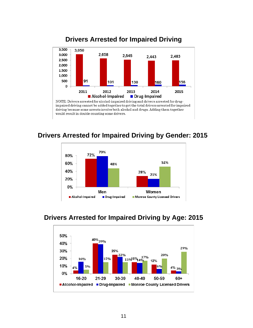

### **Drivers Arrested for Impaired Driving**

### **Drivers Arrested for Impaired Driving by Gender: 2015**



### **Drivers Arrested for Impaired Driving by Age: 2015**

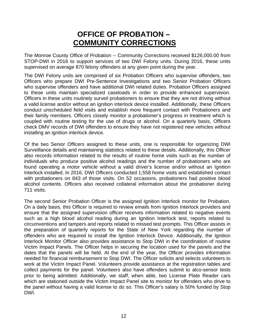### **OFFICE OF PROBATION – COMMUNITY CORRECTIONS**

The Monroe County Office of Probation -- Community Corrections received \$126,000.00 from STOP-DWI in 2016 to support services of two DWI Felony units. During 2016, these units supervised on average 870 felony offenders at any given point during the year.

The DWI Felony units are comprised of six Probation Officers who supervise offenders, two Officers who prepare DWI Pre-Sentence Investigations and two Senior Probation Officers who supervise offenders and have additional DWI related duties. Probation Officers assigned to these units maintain specialized caseloads in order to provide enhanced supervision. Officers in these units routinely surveil probationers to ensure that they are not driving without a valid license and/or without an ignition interlock device installed. Additionally, these Officers conduct unscheduled field visits and establish more frequent contact with Probationers and their family members. Officers closely monitor a probationer's progress in treatment which is coupled with routine testing for the use of drugs or alcohol. On a quarterly basis, Officers check DMV records of DWI offenders to ensure they have not registered new vehicles without installing an ignition interlock device.

Of the two Senior Officers assigned to these units, one is responsible for organizing DWI Surveillance details and maintaining statistics related to these details. Additionally, this Officer also records information related to the results of routine home visits such as the number of individuals who produce positive alcohol readings and the number of probationers who are found operating a motor vehicle without a valid driver's license and/or without an Ignition Interlock installed. In 2016, DWI Officers conducted 1,558 home visits and established contact with probationers on 843 of those visits. On 52 occasions, probationers had positive blood alcohol contents. Officers also received collateral information about the probationer during 711 visits.

The second Senior Probation Officer is the assigned Ignition Interlock monitor for Probation. On a daily basis, this Officer is required to review emails from Ignition Interlock providers and ensure that the assigned supervision officer receives information related to negative events such as a high blood alcohol reading during an Ignition Interlock test, reports related to circumventions and tampers and reports related to missed test prompts. This Officer assists in the preparation of quarterly reports for the State of New York regarding the number of offenders who are required to install the Ignition Interlock Device. Additionally, the Ignition Interlock Monitor Officer also provides assistance to Stop DWI in the coordination of routine Victim Impact Panels. The Officer helps in securing the location used for the panels and the dates that the panels will be held. At the end of the year, the Officer provides information needed for financial reimbursement to Stop DWI. The Officer solicits and selects volunteers to work at the Victim Impact Panel. Volunteers provide assistance at the registration tables and collect payments for the panel. Volunteers also have offenders submit to alco-sensor tests prior to being admitted. Additionally, we staff, when able, two License Plate Reader cars which are stationed outside the Victim Impact Panel site to monitor for offenders who drive to the panel without having a valid license to do so. This Officer's salary is 50% funded by Stop DWI.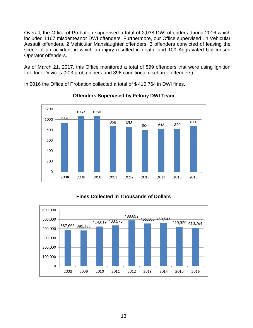Overall, the Office of Probation supervised a total of 2,038 DWI offenders during 2016 which included 1167 misdemeanor DWI offenders. Furthermore, our Office supervised 14 Vehicular Assault offenders, 2 Vehicular Manslaughter offenders, 3 offenders convicted of leaving the scene of an accident in which an injury resulted in death, and 109 Aggravated Unlicensed Operator offenders.

As of March 21, 2017, this Office monitored a total of 599 offenders that were using Ignition Interlock Devices (203 probationers and 396 conditional discharge offenders).

In 2016 the Office of Probation collected a total of \$ 410,764 in DWI fines.



#### **Offenders Supervised by Felony DWI Team**

#### **Fines Collected in Thousands of Dollars**

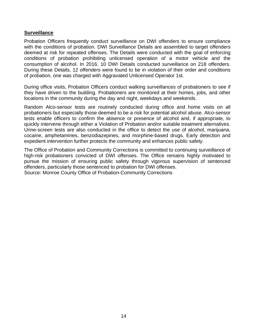#### **Surveillance**

Probation Officers frequently conduct surveillance on DWI offenders to ensure compliance with the conditions of probation. DWI Surveillance Details are assembled to target offenders deemed at risk for repeated offenses. The Details were conducted with the goal of enforcing conditions of probation prohibiting unlicensed operation of a motor vehicle and the consumption of alcohol. In 2016, 10 DWI Details conducted surveillance on 218 offenders. During these Details, 12 offenders were found to be in violation of their order and conditions of probation, one was charged with Aggravated Unlicensed Operator 1st.

During office visits, Probation Officers conduct walking surveillances of probationers to see if they have driven to the building. Probationers are monitored at their homes, jobs, and other locations in the community during the day and night, weekdays and weekends.

Random Alco-sensor tests are routinely conducted during office and home visits on all probationers but especially those deemed to be a risk for potential alcohol abuse. Alco-sensor tests enable officers to confirm the absence or presence of alcohol and, if appropriate, to quickly intervene through either a Violation of Probation and/or suitable treatment alternatives. Urine-screen tests are also conducted in the office to detect the use of alcohol, marijuana, cocaine, amphetamines, benzodiazepines, and morphine-based drugs. Early detection and expedient intervention further protects the community and enhances public safety.

The Office of Probation and Community Corrections is committed to continuing surveillance of high-risk probationers convicted of DWI offenses. The Office remains highly motivated to pursue the mission of ensuring public safety through vigorous supervision of sentenced offenders, particularly those sentenced to probation for DWI offenses.

Source: Monroe County Office of Probation-Community Corrections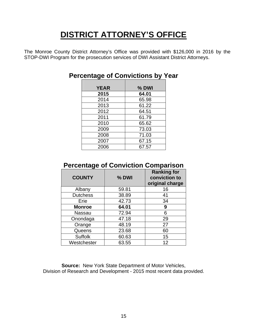## **DISTRICT ATTORNEY'S OFFICE**

The Monroe County District Attorney's Office was provided with \$126,000 in 2016 by the STOP-DWI Program for the prosecution services of DWI Assistant District Attorneys.

| <b>YEAR</b> | $%$ DWI |
|-------------|---------|
| 2015        | 64.01   |
| 2014        | 65.98   |
| 2013        | 61.22   |
| 2012        | 64.51   |
| 2011        | 61.79   |
| 2010        | 65.62   |
| 2009        | 73.03   |
| 2008        | 71.03   |
| 2007        | 67.15   |
| 2006        | 67.57   |

### **Percentage of Convictions by Year**

### **Percentage of Conviction Comparison**

| <b>COUNTY</b>   | % DWI | <b>Ranking for</b><br>conviction to<br>original charge |
|-----------------|-------|--------------------------------------------------------|
| Albany          | 59.81 | 16                                                     |
| <b>Dutchess</b> | 38.89 | 41                                                     |
| Erie            | 42.73 | 34                                                     |
| <b>Monroe</b>   | 64.01 | 9                                                      |
| <b>Nassau</b>   | 72.94 | 6                                                      |
| Onondaga        | 47.18 | 29                                                     |
| Orange          | 48.19 | 27                                                     |
| Queens          | 23.68 | 60                                                     |
| <b>Suffolk</b>  | 60.63 | 15                                                     |
| Westchester     | 63.55 | 12                                                     |

**Source:** New York State Department of Motor Vehicles, Division of Research and Development - 2015 most recent data provided.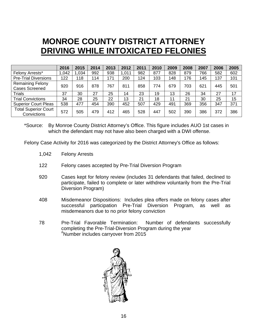## **MONROE COUNTY DISTRICT ATTORNEY DRIVING WHILE INTOXICATED FELONIES**

|                                                  | 2016 | 2015 | 2014 | 2013 | 2012 | 2011 | 2010 | 2009 | 2008 | 2007 | 2006 | 2005 |
|--------------------------------------------------|------|------|------|------|------|------|------|------|------|------|------|------|
| Felony Arrests*                                  | .042 | .034 | 992  | 938  | ,011 | 982  | 877  | 828  | 879  | 766  | 582  | 602  |
| <b>Pre-Trial Diversions</b>                      | 122  | 118  | 114  | 171  | 200  | 124  | 103  | 148  | 176  | 145  | 137  | 101  |
| <b>Remaining Felony</b><br><b>Cases Screened</b> | 920  | 916  | 878  | 767  | 811  | 858  | 774  | 679  | 703  | 621  | 445  | 501  |
| <b>Trials</b>                                    | 37   | 30   | 27   | 25   | 14   | 23   | 19   | 13   | 26   | 34   | 27   | 17   |
| <b>Trial Convictions</b>                         | 34   | 28   | 25   | 22   | 13   | 21   | 18   | 11   | 21   | 30   | 25   | 15   |
| <b>Superior Court Pleas</b>                      | 538  | 477  | 454  | 390  | 452  | 507  | 429  | 491  | 369  | 356  | 347  | 371  |
| <b>Total Superior Court</b><br>Convictions       | 572  | 505  | 479  | 412  | 465  | 528  | 447  | 502  | 390  | 386  | 372  | 386  |

\*Source: By Monroe County District Attorney's Office. This figure includes AUO 1st cases in which the defendant may not have also been charged with a DWI offense.

Felony Case Activity for 2016 was categorized by the District Attorney's Office as follows:

- 1,042 Felony Arrests
- 122 Felony cases accepted by Pre-Trial Diversion Program
- 920 Cases kept for felony review (includes 31 defendants that failed, declined to participate, failed to complete or later withdrew voluntarily from the Pre-Trial Diversion Program)
- 408 Misdemeanor Dispositions: Includes plea offers made on felony cases after successful participation Pre-Trial Diversion Program, as well as misdemeanors due to no prior felony conviction
- 78 Pre-Trial Favorable Termination: Number of defendants successfully completing the Pre-Trial-Diversion Program during the year # Number includes carryover from 2015

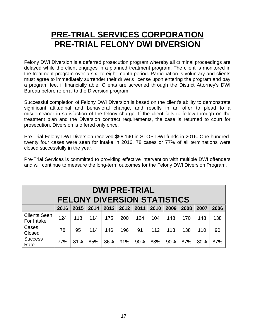### **PRE-TRIAL SERVICES CORPORATION PRE-TRIAL FELONY DWI DIVERSION**

Felony DWI Diversion is a deferred prosecution program whereby all criminal proceedings are delayed while the client engages in a planned treatment program. The client is monitored in the treatment program over a six- to eight-month period. Participation is voluntary and clients must agree to immediately surrender their driver's license upon entering the program and pay a program fee, if financially able. Clients are screened through the District Attorney's DWI Bureau before referral to the Diversion program.

Successful completion of Felony DWI Diversion is based on the client's ability to demonstrate significant attitudinal and behavioral change, and results in an offer to plead to a misdemeanor in satisfaction of the felony charge. If the client fails to follow through on the treatment plan and the Diversion contract requirements, the case is returned to court for prosecution. Diversion is offered only once.

Pre-Trial Felony DWI Diversion received \$58,140 in STOP-DWI funds in 2016. One hundredtwenty four cases were seen for intake in 2016. 78 cases or 77% of all terminations were closed successfully in the year.

Pre-Trial Services is committed to providing effective intervention with multiple DWI offenders and will continue to measure the long-term outcomes for the Felony DWI Diversion Program.

| <b>DWI PRE-TRIAL</b><br><b>FELONY DIVERSION STATISTICS</b> |      |      |      |      |      |      |      |      |      |      |      |
|------------------------------------------------------------|------|------|------|------|------|------|------|------|------|------|------|
|                                                            | 2016 | 2015 | 2014 | 2013 | 2012 | 2011 | 2010 | 2009 | 2008 | 2007 | 2006 |
| <b>Clients Seen</b><br>For Intake                          | 124  | 118  | 114  | 175  | 200  | 124  | 104  | 148  | 170  | 148  | 138  |
| Cases<br>Closed                                            | 78   | 95   | 114  | 146  | 196  | 91   | 112  | 113  | 138  | 110  | 90   |
| <b>Success</b><br>Rate                                     | 77%  | 81%  | 85%  | 86%  | 91%  | 90%  | 88%  | 90%  | 87%  | 80%  | 87%  |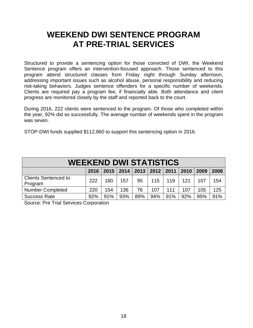### **WEEKEND DWI SENTENCE PROGRAM AT PRE-TRIAL SERVICES**

Structured to provide a sentencing option for those convicted of DWI, the Weekend Sentence program offers an intervention-focused approach. Those sentenced to this program attend structured classes from Friday night through Sunday afternoon, addressing important issues such as alcohol abuse, personal responsibility and reducing risk-taking behaviors. Judges sentence offenders for a specific number of weekends. Clients are required pay a program fee, if financially able. Both attendance and client progress are monitored closely by the staff and reported back to the court.

During 2016, 222 clients were sentenced to the program. Of those who completed within the year, 92% did so successfully. The average number of weekends spent in the program was seven.

STOP-DWI funds supplied \$112,860 to support this sentencing option in 2016.

| <b>WEEKEND DWI STATISTICS</b>                                          |     |     |     |     |     |     |     |     |     |  |
|------------------------------------------------------------------------|-----|-----|-----|-----|-----|-----|-----|-----|-----|--|
| 2013<br>$2012$   2011<br>$2015$   2014<br>2010<br>2016<br>2009<br>2008 |     |     |     |     |     |     |     |     |     |  |
| <b>Clients Sentenced to</b><br>Program                                 | 222 | 180 | 157 | 95  | 115 | 119 | 121 | 107 | 154 |  |
| <b>Number Completed</b>                                                | 220 | 154 | 136 | 76  | 107 | 111 | 107 | 105 | 125 |  |
| <b>Success Rate</b>                                                    | 92% | 91% | 93% | 89% | 94% | 91% | 92% | 95% | 91% |  |

Source: Pre Trial Services Corporation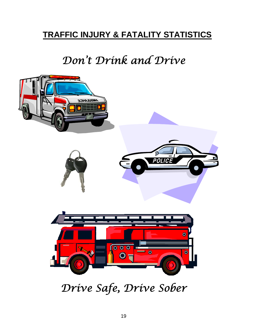## **TRAFFIC INJURY & FATALITY STATISTICS**

# *Don't Drink and Drive*



*Drive Safe, Drive Sober*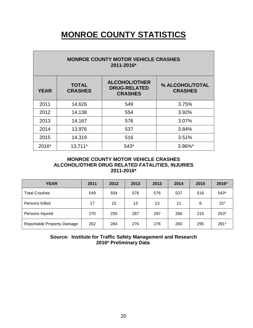## **MONROE COUNTY STATISTICS**

| <b>MONROE COUNTY MOTOR VEHICLE CRASHES</b><br>2011-2016*                                                                                            |         |      |            |  |  |  |  |  |  |  |
|-----------------------------------------------------------------------------------------------------------------------------------------------------|---------|------|------------|--|--|--|--|--|--|--|
| <b>ALCOHOL/OTHER</b><br><b>TOTAL</b><br>% ALCOHOL/TOTAL<br><b>DRUG-RELATED</b><br><b>YEAR</b><br><b>CRASHES</b><br><b>CRASHES</b><br><b>CRASHES</b> |         |      |            |  |  |  |  |  |  |  |
| 2011                                                                                                                                                | 14,626  | 549  | 3.75%      |  |  |  |  |  |  |  |
| 2012                                                                                                                                                | 14,138  | 554  | 3.92%      |  |  |  |  |  |  |  |
| 2013                                                                                                                                                | 14,167  | 576  | 3.07%      |  |  |  |  |  |  |  |
| 2014                                                                                                                                                | 13,976  | 537  | 3.84%      |  |  |  |  |  |  |  |
| 2015                                                                                                                                                | 14,319  | 516  | 3.51%      |  |  |  |  |  |  |  |
| 2016*                                                                                                                                               | 13,711* | 543* | $3.96\%$ * |  |  |  |  |  |  |  |

#### **MONROE COUNTY MOTOR VEHICLE CRASHES ALCOHOL/OTHER DRUG RELATED FATALITIES, INJURIES 2011-2016\***

| <b>YEAR</b>                | 2011 | 2012 | 2013 | 2013 | 2014 | 2015 | 2016*  |
|----------------------------|------|------|------|------|------|------|--------|
| <b>Total Crashes</b>       | 549  | 554  | 576  | 576  | 537  | 516  | 543*   |
| Persons Killed             | 17   | 15   | 13   | 13   | 11   | 6    | $15*$  |
| Persons Injured            | 270  | 255  | 287  | 287  | 266  | 215  | $253*$ |
| Reportable Property Damage | 262  | 284  | 276  | 276  | 260  | 295  | $281*$ |

**Source: Institute for Traffic Safety Management and Research 2016\* Preliminary Data**.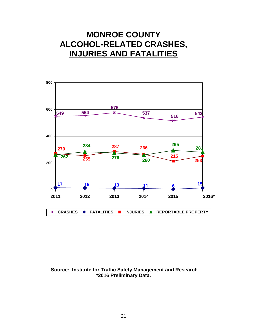### **MONROE COUNTY ALCOHOL-RELATED CRASHES, INJURIES AND FATALITIES**



#### **Source: Institute for Traffic Safety Management and Research \*2016 Preliminary Data.**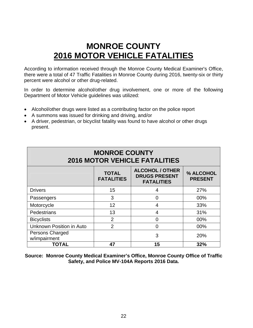## **MONROE COUNTY 2016 MOTOR VEHICLE FATALITIES**

According to information received through the Monroe County Medical Examiner's Office, there were a total of 47 Traffic Fatalities in Monroe County during 2016, twenty-six or thirty percent were alcohol or other drug-related.

In order to determine alcohol/other drug involvement, one or more of the following Department of Motor Vehicle guidelines was utilized:

- Alcohol/other drugs were listed as a contributing factor on the police report
- A summons was issued for drinking and driving, and/or
- A driver, pedestrian, or bicyclist fatality was found to have alcohol or other drugs present.

| <b>MONROE COUNTY</b><br><b>2016 MOTOR VEHICLE FATALITIES</b> |                                   |                                                                     |                             |  |  |  |  |
|--------------------------------------------------------------|-----------------------------------|---------------------------------------------------------------------|-----------------------------|--|--|--|--|
|                                                              | <b>TOTAL</b><br><b>FATALITIES</b> | <b>ALCOHOL / OTHER</b><br><b>DRUGS PRESENT</b><br><b>FATALITIES</b> | % ALCOHOL<br><b>PRESENT</b> |  |  |  |  |
| <b>Drivers</b>                                               | 15                                | 4                                                                   | 27%                         |  |  |  |  |
| Passengers                                                   | 3                                 | 0                                                                   | 00%                         |  |  |  |  |
| Motorcycle                                                   | 12                                | 4                                                                   | 33%                         |  |  |  |  |
| Pedestrians                                                  | 13                                | 4                                                                   | 31%                         |  |  |  |  |
| <b>Bicyclists</b>                                            | $\overline{2}$                    | 0                                                                   | 00%                         |  |  |  |  |
| <b>Unknown Position in Auto</b>                              | $\overline{2}$                    | 0                                                                   | 00%                         |  |  |  |  |
| Persons Charged<br>w/impairment                              |                                   | 3                                                                   | 20%                         |  |  |  |  |
| <b>TOTAL</b>                                                 | 47                                | 15                                                                  | 32%                         |  |  |  |  |

**Source: Monroe County Medical Examiner's Office, Monroe County Office of Traffic Safety, and Police MV-104A Reports 2016 Data.**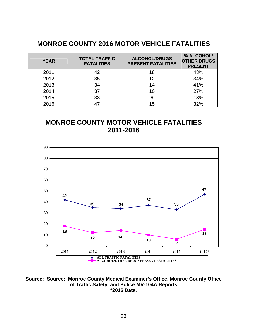### **MONROE COUNTY 2016 MOTOR VEHICLE FATALITIES**

| <b>YEAR</b> | <b>TOTAL TRAFFIC</b><br><b>FATALITIES</b> | <b>ALCOHOL/DRUGS</b><br><b>PRESENT FATALITIES</b> | % ALCOHOL/<br><b>OTHER DRUGS</b><br><b>PRESENT</b> |
|-------------|-------------------------------------------|---------------------------------------------------|----------------------------------------------------|
| 2011        | 42                                        | 18                                                | 43%                                                |
| 2012        | 35                                        | 12                                                | 34%                                                |
| 2013        | 34                                        | 14                                                | 41%                                                |
| 2014        | 37                                        | 10                                                | 27%                                                |
| 2015        | 33                                        |                                                   | 18%                                                |
| 2016        |                                           | 15                                                | 32%                                                |

### **MONROE COUNTY MOTOR VEHICLE FATALITIES 2011-2016**



**Source: Source: Monroe County Medical Examiner's Office, Monroe County Office of Traffic Safety, and Police MV-104A Reports \*2016 Data.**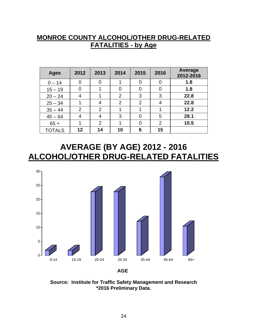### **MONROE COUNTY ALCOHOL/OTHER DRUG-RELATED FATALITIES - by Age**

| <b>Ages</b>   | 2012           | 2013 | 2014           | 2015     | 2016           | <b>Average</b><br>2012-2016 |
|---------------|----------------|------|----------------|----------|----------------|-----------------------------|
| $0 - 14$      | 0              |      |                | 0        | 0              | 1.8                         |
| $15 - 19$     | 0              | 4    | 0              | $\Omega$ | 0              | 1.8                         |
| $20 - 24$     | 4              |      | 2              | 3        | 3              | 22.8                        |
| $25 - 34$     |                |      | $\overline{2}$ | 2        | 4              | 22.8                        |
| $35 - 44$     | $\overline{2}$ | 2    |                |          |                | 12.2                        |
| $45 - 64$     | 4              | 4    | 3              | $\Omega$ | 5              | 28.1                        |
| $65 +$        |                | 2    |                | O        | $\overline{2}$ | 10.5                        |
| <b>TOTALS</b> | 12             | 14   | 10             | 6        | 15             |                             |

### **AVERAGE (BY AGE) 2012 - 2016 ALCOHOL/OTHER DRUG-RELATED FATALITIES**



**Source: Institute for Traffic Safety Management and Research \*2016 Preliminary Data.**